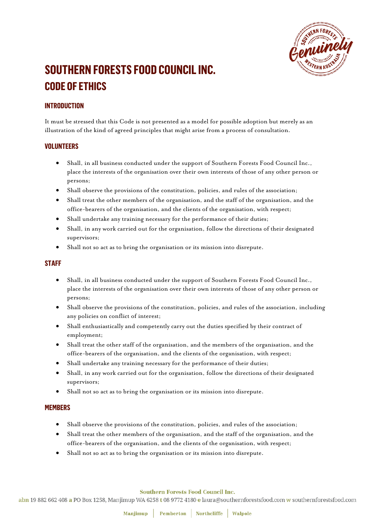

# **SOUTHERN FORESTS FOOD COUNCIL INC. CODE OF ETHICS**

## **INTRODUCTION**

It must be stressed that this Code is not presented as a model for possible adoption but merely as an illustration of the kind of agreed principles that might arise from a process of consultation.

#### **VOLUNTEERS**

- Shall, in all business conducted under the support of Southern Forests Food Council Inc., place the interests of the organisation over their own interests of those of any other person or persons;
- Shall observe the provisions of the constitution, policies, and rules of the association;
- Shall treat the other members of the organisation, and the staff of the organisation, and the office-bearers of the organisation, and the clients of the organisation, with respect;
- Shall undertake any training necessary for the performance of their duties;
- Shall, in any work carried out for the organisation, follow the directions of their designated supervisors;
- Shall not so act as to bring the organisation or its mission into disrepute.

### **STAFF**

- Shall, in all business conducted under the support of Southern Forests Food Council Inc., place the interests of the organisation over their own interests of those of any other person or persons;
- Shall observe the provisions of the constitution, policies, and rules of the association, including any policies on conflict of interest;
- Shall enthusiastically and competently carry out the duties specified by their contract of employment;
- Shall treat the other staff of the organisation, and the members of the organisation, and the office-bearers of the organisation, and the clients of the organisation, with respect;
- Shall undertake any training necessary for the performance of their duties;
- Shall, in any work carried out for the organisation, follow the directions of their designated supervisors;
- Shall not so act as to bring the organisation or its mission into disrepute.

#### **MEMBERS**

- Shall observe the provisions of the constitution, policies, and rules of the association;
- Shall treat the other members of the organisation, and the staff of the organisation, and the office-bearers of the organisation, and the clients of the organisation, with respect;
- Shall not so act as to bring the organisation or its mission into disrepute.

**Southern Forests Food Council Inc.** 

abn 19 882 662 408 a PO Box 1258, Manjimup WA 6258 t 08 9772 4180 e laura@southernforestsfood.com w southernforestsfood.com